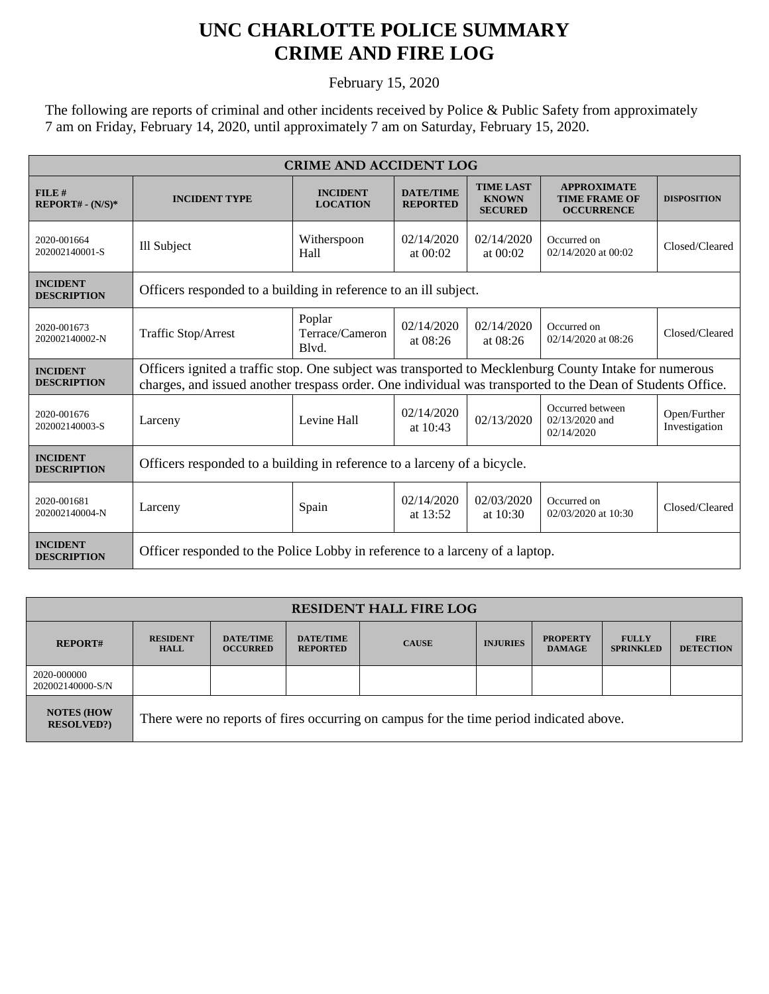## **UNC CHARLOTTE POLICE SUMMARY CRIME AND FIRE LOG**

February 15, 2020

The following are reports of criminal and other incidents received by Police & Public Safety from approximately 7 am on Friday, February 14, 2020, until approximately 7 am on Saturday, February 15, 2020.

| <b>CRIME AND ACCIDENT LOG</b>         |                                                                                                                                                                                                                      |                                    |                                     |                                                    |                                                                 |                               |  |
|---------------------------------------|----------------------------------------------------------------------------------------------------------------------------------------------------------------------------------------------------------------------|------------------------------------|-------------------------------------|----------------------------------------------------|-----------------------------------------------------------------|-------------------------------|--|
| FILE#<br>$REPORT# - (N/S)*$           | <b>INCIDENT TYPE</b>                                                                                                                                                                                                 | <b>INCIDENT</b><br><b>LOCATION</b> | <b>DATE/TIME</b><br><b>REPORTED</b> | <b>TIME LAST</b><br><b>KNOWN</b><br><b>SECURED</b> | <b>APPROXIMATE</b><br><b>TIME FRAME OF</b><br><b>OCCURRENCE</b> | <b>DISPOSITION</b>            |  |
| 2020-001664<br>202002140001-S         | Ill Subject                                                                                                                                                                                                          | Witherspoon<br>Hall                | 02/14/2020<br>at $00:02$            | 02/14/2020<br>at $00:02$                           | Occurred on<br>02/14/2020 at 00:02                              | Closed/Cleared                |  |
| <b>INCIDENT</b><br><b>DESCRIPTION</b> | Officers responded to a building in reference to an ill subject.                                                                                                                                                     |                                    |                                     |                                                    |                                                                 |                               |  |
| 2020-001673<br>202002140002-N         | Traffic Stop/Arrest                                                                                                                                                                                                  | Poplar<br>Terrace/Cameron<br>Blvd. | 02/14/2020<br>at $08:26$            | 02/14/2020<br>at $08:26$                           | Occurred on<br>02/14/2020 at 08:26                              | Closed/Cleared                |  |
| <b>INCIDENT</b><br><b>DESCRIPTION</b> | Officers ignited a traffic stop. One subject was transported to Mecklenburg County Intake for numerous<br>charges, and issued another trespass order. One individual was transported to the Dean of Students Office. |                                    |                                     |                                                    |                                                                 |                               |  |
| 2020-001676<br>202002140003-S         | Larceny                                                                                                                                                                                                              | Levine Hall                        | 02/14/2020<br>at $10:43$            | 02/13/2020                                         | Occurred between<br>$02/13/2020$ and<br>02/14/2020              | Open/Further<br>Investigation |  |
| <b>INCIDENT</b><br><b>DESCRIPTION</b> | Officers responded to a building in reference to a larceny of a bicycle.                                                                                                                                             |                                    |                                     |                                                    |                                                                 |                               |  |
| 2020-001681<br>202002140004-N         | Larceny                                                                                                                                                                                                              | Spain                              | 02/14/2020<br>at 13:52              | 02/03/2020<br>at 10:30                             | Occurred on<br>02/03/2020 at 10:30                              | Closed/Cleared                |  |
| <b>INCIDENT</b><br><b>DESCRIPTION</b> | Officer responded to the Police Lobby in reference to a larceny of a laptop.                                                                                                                                         |                                    |                                     |                                                    |                                                                 |                               |  |

| <b>RESIDENT HALL FIRE LOG</b>          |                                                                                         |                                     |                                     |              |                 |                                  |                                  |                                 |
|----------------------------------------|-----------------------------------------------------------------------------------------|-------------------------------------|-------------------------------------|--------------|-----------------|----------------------------------|----------------------------------|---------------------------------|
| <b>REPORT#</b>                         | <b>RESIDENT</b><br><b>HALL</b>                                                          | <b>DATE/TIME</b><br><b>OCCURRED</b> | <b>DATE/TIME</b><br><b>REPORTED</b> | <b>CAUSE</b> | <b>INJURIES</b> | <b>PROPERTY</b><br><b>DAMAGE</b> | <b>FULLY</b><br><b>SPRINKLED</b> | <b>FIRE</b><br><b>DETECTION</b> |
| 2020-000000<br>202002140000-S/N        |                                                                                         |                                     |                                     |              |                 |                                  |                                  |                                 |
| <b>NOTES (HOW)</b><br><b>RESOLVED?</b> | There were no reports of fires occurring on campus for the time period indicated above. |                                     |                                     |              |                 |                                  |                                  |                                 |